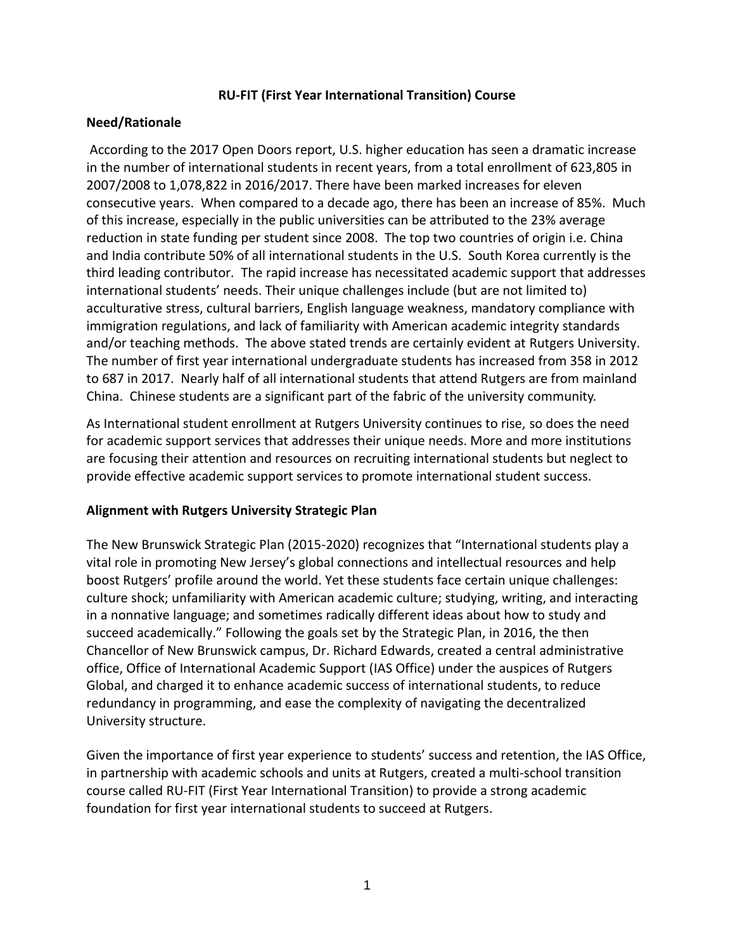### **RU-FIT (First Year International Transition) Course**

### **Need/Rationale**

According to the 2017 Open Doors report, U.S. higher education has seen a dramatic increase in the number of international students in recent years, from a total enrollment of 623,805 in 2007/2008 to 1,078,822 in 2016/2017. There have been marked increases for eleven consecutive years. When compared to a decade ago, there has been an increase of 85%. Much of this increase, especially in the public universities can be attributed to the 23% average reduction in state funding per student since 2008. The top two countries of origin i.e. China and India contribute 50% of all international students in the U.S. South Korea currently is the third leading contributor. The rapid increase has necessitated academic support that addresses international students' needs. Their unique challenges include (but are not limited to) acculturative stress, cultural barriers, English language weakness, mandatory compliance with immigration regulations, and lack of familiarity with American academic integrity standards and/or teaching methods. The above stated trends are certainly evident at Rutgers University. The number of first year international undergraduate students has increased from 358 in 2012 to 687 in 2017. Nearly half of all international students that attend Rutgers are from mainland China. Chinese students are a significant part of the fabric of the university community.

As International student enrollment at Rutgers University continues to rise, so does the need for academic support services that addresses their unique needs. More and more institutions are focusing their attention and resources on recruiting international students but neglect to provide effective academic support services to promote international student success.

# **Alignment with Rutgers University Strategic Plan**

The New Brunswick Strategic Plan (2015-2020) recognizes that "International students play a vital role in promoting New Jersey's global connections and intellectual resources and help boost Rutgers' profile around the world. Yet these students face certain unique challenges: culture shock; unfamiliarity with American academic culture; studying, writing, and interacting in a nonnative language; and sometimes radically different ideas about how to study and succeed academically." Following the goals set by the Strategic Plan, in 2016, the then Chancellor of New Brunswick campus, Dr. Richard Edwards, created a central administrative office, Office of International Academic Support (IAS Office) under the auspices of Rutgers Global, and charged it to enhance academic success of international students, to reduce redundancy in programming, and ease the complexity of navigating the decentralized University structure.

Given the importance of first year experience to students' success and retention, the IAS Office, in partnership with academic schools and units at Rutgers, created a multi-school transition course called RU-FIT (First Year International Transition) to provide a strong academic foundation for first year international students to succeed at Rutgers.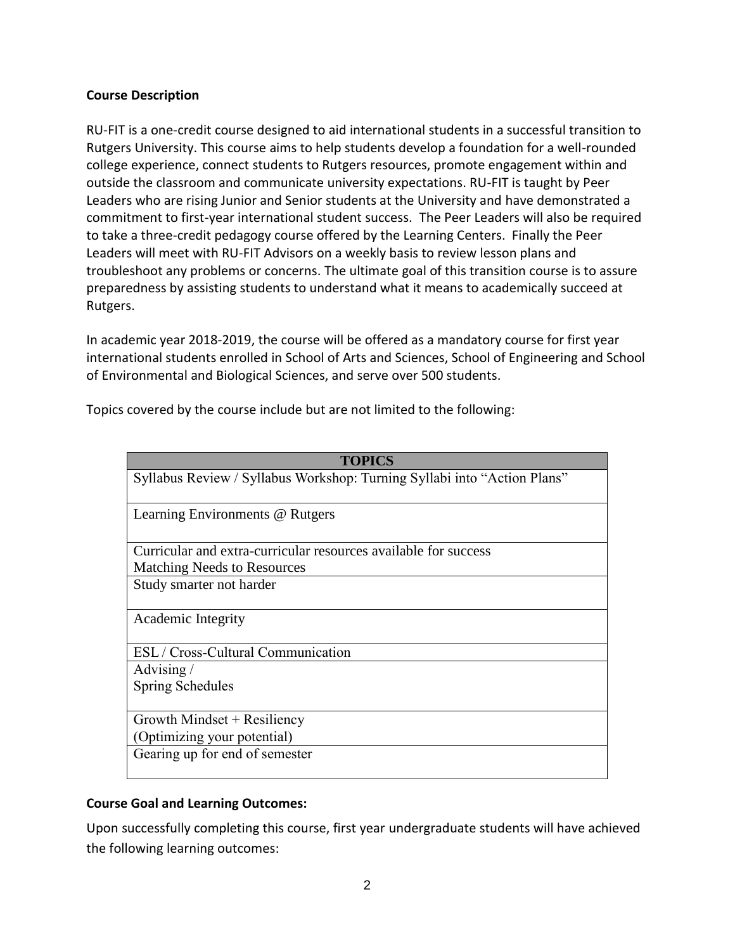### **Course Description**

RU-FIT is a one-credit course designed to aid international students in a successful transition to Rutgers University. This course aims to help students develop a foundation for a well-rounded college experience, connect students to Rutgers resources, promote engagement within and outside the classroom and communicate university expectations. RU-FIT is taught by Peer Leaders who are rising Junior and Senior students at the University and have demonstrated a commitment to first-year international student success. The Peer Leaders will also be required to take a three-credit pedagogy course offered by the Learning Centers. Finally the Peer Leaders will meet with RU-FIT Advisors on a weekly basis to review lesson plans and troubleshoot any problems or concerns. The ultimate goal of this transition course is to assure preparedness by assisting students to understand what it means to academically succeed at Rutgers.

In academic year 2018-2019, the course will be offered as a mandatory course for first year international students enrolled in School of Arts and Sciences, School of Engineering and School of Environmental and Biological Sciences, and serve over 500 students.

| <b>TOPICS</b>                                                            |
|--------------------------------------------------------------------------|
| Syllabus Review / Syllabus Workshop: Turning Syllabi into "Action Plans" |
| Learning Environments @ Rutgers                                          |
| Curricular and extra-curricular resources available for success          |
| <b>Matching Needs to Resources</b>                                       |
| Study smarter not harder                                                 |
| Academic Integrity                                                       |
| ESL / Cross-Cultural Communication                                       |
| Advising/                                                                |
| <b>Spring Schedules</b>                                                  |
| Growth Mindset $+$ Resiliency                                            |
| (Optimizing your potential)                                              |
| Gearing up for end of semester                                           |

Topics covered by the course include but are not limited to the following:

# **Course Goal and Learning Outcomes:**

Upon successfully completing this course, first year undergraduate students will have achieved the following learning outcomes: